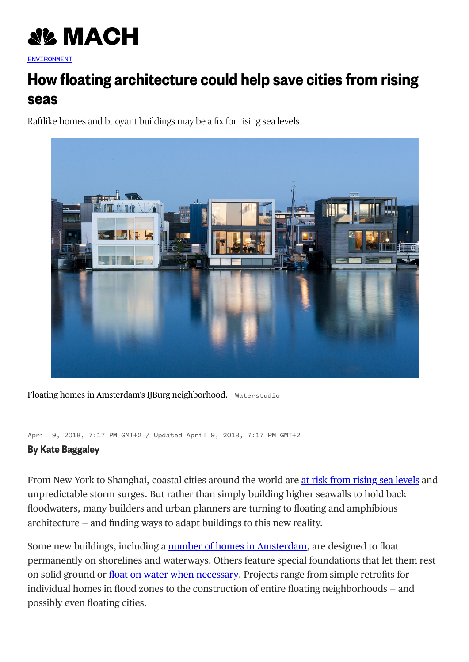

[ENVIRONMENT](https://www.nbcnews.com/mach/environment)

## **How floating architecture could help save citiesfromrising seas**

Raftlike homes and buoyant buildings may be a fix for rising sea levels.



Floating homes in Amsterdam's IJBurg neighborhood. Waterstudio

April 9, 2018, 7:17 PM GMT+2 / Updated April 9, 2018, 7:17 PM GMT+2 **By Kate Baggaley**

From New York to Shanghai, coastal cities around the world are at risk from [rising](https://www.nature.com/articles/nclimate2961) sea levels and unpredictable storm surges. But rather than simply building higher seawalls to hold back floodwaters, many builders and urban planners are turning to floating and amphibious architecture — and finding ways to adapt buildings to this new reality.

Some new buildings, including a number of homes in [Amsterdam,](https://psmag.com/environment/are-the-floating-houses-of-the-netherlands-a-solution-against-the-rising-seas) are designed to float permanently on shorelines and waterways. Others feature special foundations that let them rest on solid ground or float on water when [necessary.](https://www.nbcnews.com/mach/science/flood-proof-garage-relies-reservoir-keep-cars-dry-ncna829771) Projects range from simple retrofits for individual homes in flood zones to the construction of entire floating neighborhoods — and possibly even floating cities.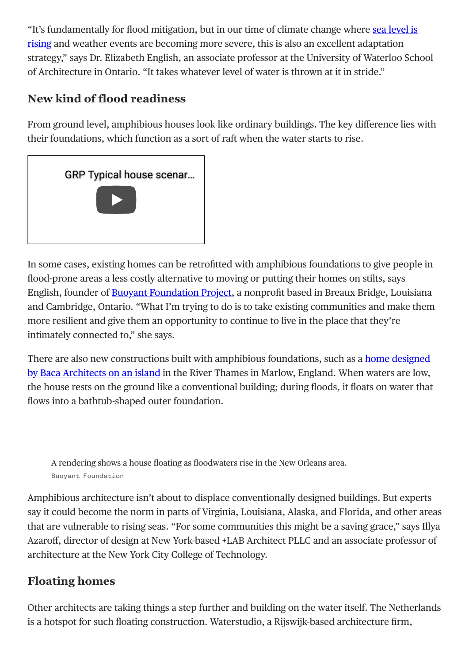"It's [fundamentally](https://www.nbcnews.com/mach/science/walls-won-t-save-our-cities-rising-seas-here-s-ncna786811) for flood mitigation, but in our time of climate change where sea level is rising and weather events are becoming more severe, this is also an excellent adaptation stratey," says Dr. Elizabeth English, an associate professor at the University of Waterloo School of Architecture in Ontario. "It takes whatever level of water is thrown at it in stride."

## **New kind of flood readiness**

From ground level, amphibious houses look like ordinary buildings. The key difference lies with their foundations, which function as a sort of raft when the water starts to rise.



In some cases, existing homes can be retrofitted with amphibious foundations to give people in flood-prone areas a less costly alternative to moving or putting their homes on stilts, says English, founder of Buoyant [Foundation](http://buoyantfoundation.org/) Project, a nonprofit based in Breaux Bridge, Louisiana and Cambridge, Ontario. "What I'm trying to do is to take existing communities and make them more resilient and give them an opportunity to continue to live in the place that they're intimately connected to," she says.

There are also new [constructions](http://bacahomes.co.uk/portfolio/amphibious-house/) built with amphibious foundations, such as a home designed by Baca Architects on an island in the River Thames in Marlow, England. When waters are low, the house rests on the ground like a conventional building; during floods, it floats on water that flows into a bathtub-shaped outer foundation.

A rendering shows a house floating as floodwaters rise in the New Orleans area. Buoyant Foundation

Amphibious architecture isn't about to displace conventionally designed buildings. But experts say it could become the norm in parts of Virginia, Louisiana, Alaska, and Florida, and other areas that are vulnerable to rising seas. "For some communities this might be a saving grace," says Illya Azaroff, director of design at New York-based +LAB Architect PLLC and an associate professor of architecture at the New York City College of Technoloy.

## **Floating homes**

Other architects are taking things a step further and building on the water itself. The Netherlands is a hotspot for such floating construction. Waterstudio, a Rijswijk-based architecture firm,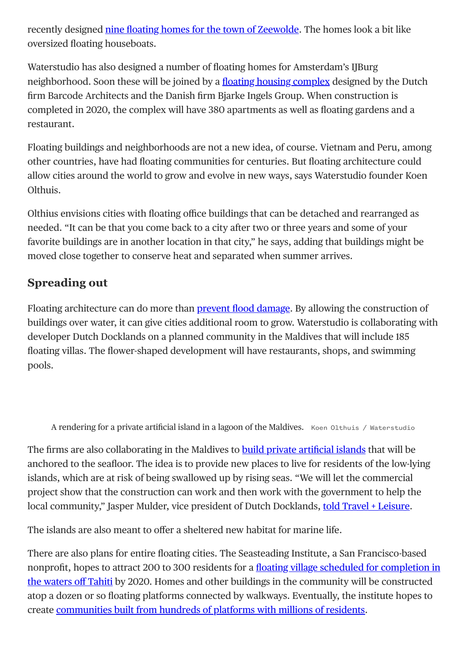recently designed nine floating homes for the town of [Zeewolde](https://www.waterstudio.nl/projects/floating-villas-zeewolde/). The homes look a bit like oversized floating houseboats.

Waterstudio has also designed a number of floating homes for Amsterdam's IJBurg neighborhood. Soon these will be joined by a floating housing [complex](http://www.barcodearchitects.com/project/sluishuis-2) designed by the Dutch firm Barcode Architects and the Danish firm Bjarke Ingels Group. When construction is completed in 2020, the complex will have 380 apartments as well as floating gardens and a restaurant.

Floating buildings and neighborhoods are not a new idea, of course. Vietnam and Peru, among other countries, have had floating communities for centuries. But floating architecture could allow cities around the world to grow and evolve in new ways, says Waterstudio founder Koen Olthuis.

Olthius envisions cities with floating office buildings that can be detached and rearranged as needed. "It can be that you come back to a city after two or three years and some of your favorite buildings are in another location in that city," he says, adding that buildings might be moved close together to conserve heat and separated when summer arrives.

## **Spreading out**

Floating architecture can do more than prevent flood [damage](https://www.nbcnews.com/mach/science/walls-won-t-save-our-cities-rising-seas-here-s-ncna786811). By allowing the construction of buildings over water, it can give cities additional room to grow. Waterstudio is collaborating with developer Dutch Docklands on a planned community in the Maldives that will include 185 floating villas. The flower-shaped development will have restaurants, shops, and swimming pools.

A rendering for a private artificial island in a lagoon of the Maldives. Koen Olthuis / Waterstudio

The firms are also collaborating in the Maldives to build private [artificial](http://www.dutchdocklands.com/Development/Amillarah) islands that will be anchored to the seafloor. The idea is to provide new places to live for residents of the low-lying islands, which are at risk of being swallowed up by rising seas. "We will let the commercial project show that the construction can work and then work with the government to help the local community," Jasper Mulder, vice president of Dutch Docklands, told Travel + [Leisure](http://www.travelandleisure.com/culture-design/architecture-design/floating-islands-maldives).

The islands are also meant to offer a sheltered new habitat for marine life.

There are also plans for entire floating cities. The Seasteading Institute, a San Francisco-based nonprofit, hopes to attract 200 to 300 residents for a floating village scheduled for completion in the waters off Tahiti by 2020. Homes and other buildings in the community will be [constructed](https://www.nbcnews.com/mach/science/world-s-first-floating-village-breathe-new-life-old-dream-ncna822906) atop a dozen or so floating platforms connected by walkways. Eventually, the institute hopes to create [communities](https://www.seasteading.org/2016/12/2017-year-seasteading-begins/) built from hundreds of platforms with millions of residents.